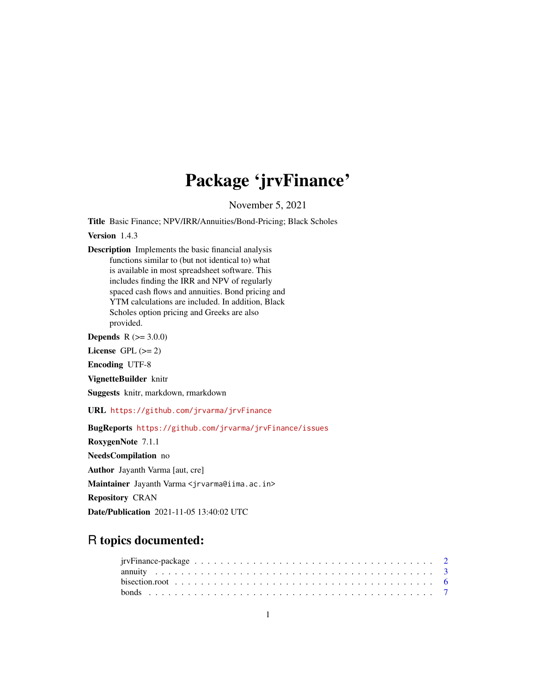# Package 'jrvFinance'

November 5, 2021

<span id="page-0-0"></span>Title Basic Finance; NPV/IRR/Annuities/Bond-Pricing; Black Scholes

Version 1.4.3

Description Implements the basic financial analysis functions similar to (but not identical to) what is available in most spreadsheet software. This includes finding the IRR and NPV of regularly spaced cash flows and annuities. Bond pricing and YTM calculations are included. In addition, Black Scholes option pricing and Greeks are also provided.

**Depends**  $R (= 3.0.0)$ 

License GPL  $(>= 2)$ 

Encoding UTF-8

VignetteBuilder knitr

Suggests knitr, markdown, rmarkdown

URL <https://github.com/jrvarma/jrvFinance>

BugReports <https://github.com/jrvarma/jrvFinance/issues>

RoxygenNote 7.1.1

NeedsCompilation no Author Jayanth Varma [aut, cre] Maintainer Jayanth Varma <jrvarma@iima.ac.in> Repository CRAN Date/Publication 2021-11-05 13:40:02 UTC

# R topics documented: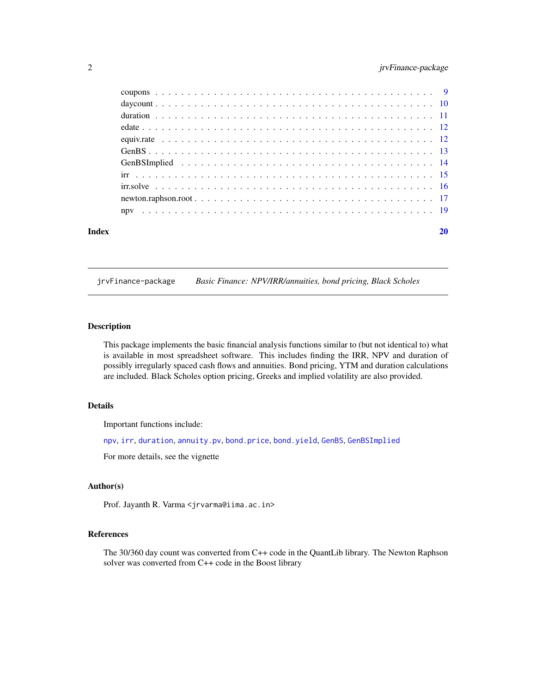# <span id="page-1-0"></span>2 jrvFinance-package

| Index |  |
|-------|--|
|       |  |
|       |  |
|       |  |
|       |  |
|       |  |
|       |  |
|       |  |
|       |  |
|       |  |
|       |  |
|       |  |

jrvFinance-package *Basic Finance: NPV/IRR/annuities, bond pricing, Black Scholes*

# Description

This package implements the basic financial analysis functions similar to (but not identical to) what is available in most spreadsheet software. This includes finding the IRR, NPV and duration of possibly irregularly spaced cash flows and annuities. Bond pricing, YTM and duration calculations are included. Black Scholes option pricing, Greeks and implied volatility are also provided.

#### Details

Important functions include:

[npv](#page-18-1), [irr](#page-14-1), [duration](#page-10-1), [annuity.pv](#page-2-1), [bond.price](#page-6-1), [bond.yield](#page-6-1), [GenBS](#page-12-1), [GenBSImplied](#page-13-1)

For more details, see the vignette

#### Author(s)

Prof. Jayanth R. Varma <jrvarma@iima.ac.in>

#### References

The 30/360 day count was converted from C++ code in the QuantLib library. The Newton Raphson solver was converted from C++ code in the Boost library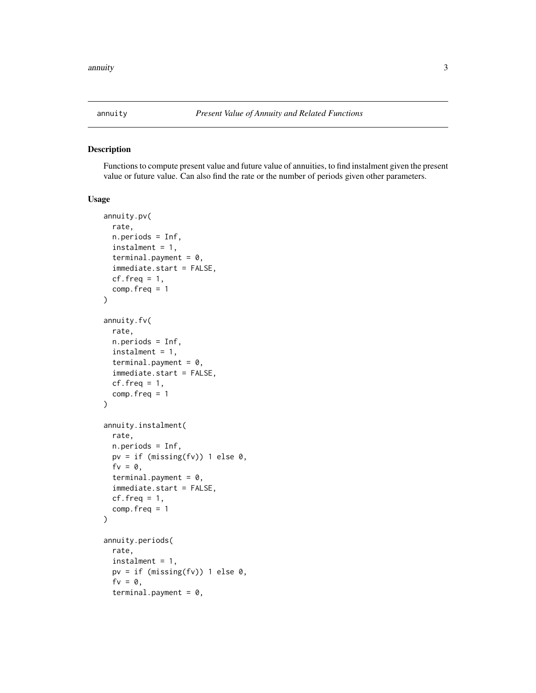<span id="page-2-1"></span><span id="page-2-0"></span>

Functions to compute present value and future value of annuities, to find instalment given the present value or future value. Can also find the rate or the number of periods given other parameters.

```
annuity.pv(
  rate,
  n.periods = Inf,
  instant = 1,terminal.payment = 0,
  immediate.start = FALSE,
  cf. freq = 1,comp. freq = 1\lambdaannuity.fv(
  rate,
  n.periods = Inf,
  instalment = 1,
  terminal.payment = 0,
  immediate.start = FALSE,
  cf. freq = 1,comp.freq = 1
)
annuity.instalment(
  rate,
  n.periods = Inf,
  pv = if (missing(fv)) 1 else 0,f_v = 0,
  terminal.payment = 0,
  immediate.start = FALSE,
  cf. freq = 1,comp. freq = 1)
annuity.periods(
  rate,
  instant = 1,pv = if (missing(fv)) 1 else 0,f_v = 0,
  terminal.payment = 0,
```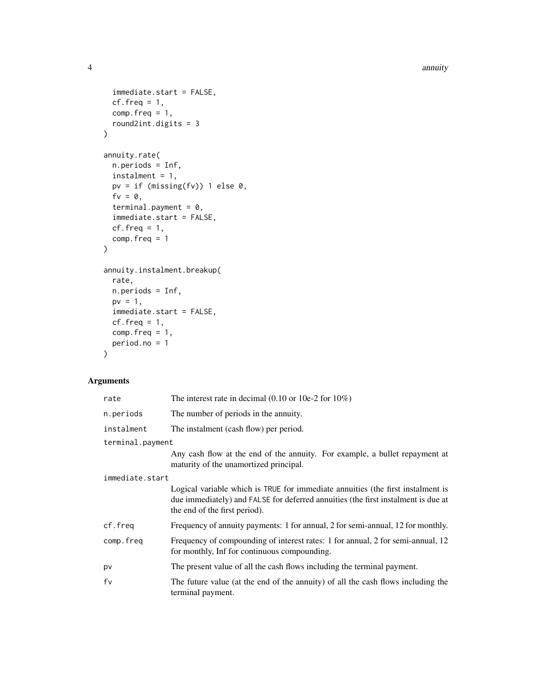4 annual annual annual annual annual annual annual annual annual annual annual annual annual annual annual annu

```
immediate.start = FALSE,
 cf. freq = 1,comp.freq = 1,
 round2int.digits = 3
\mathcal{L}annuity.rate(
 n.periods = Inf,
 instalment = 1,
 pv = if (missing(fv)) 1 else 0,fv = 0,
  terminal.payment = 0,
  immediate.start = FALSE,
 cf. freq = 1,comp.freq = 1
)
annuity.instalment.breakup(
 rate,
 n.periods = Inf,
 pv = 1,immediate.start = FALSE,
 cf. freq = 1,comp.freq = 1,period.no = 1
\mathcal{L}
```

| rate             | The interest rate in decimal $(0.10 \text{ or } 10e-2 \text{ for } 10\%)$                                                                                                                             |
|------------------|-------------------------------------------------------------------------------------------------------------------------------------------------------------------------------------------------------|
| n.periods        | The number of periods in the annuity.                                                                                                                                                                 |
| instalment       | The instalment (cash flow) per period.                                                                                                                                                                |
| terminal.payment |                                                                                                                                                                                                       |
|                  | Any cash flow at the end of the annuity. For example, a bullet repayment at<br>maturity of the unamortized principal.                                                                                 |
| immediate.start  |                                                                                                                                                                                                       |
|                  | Logical variable which is TRUE for immediate annuities (the first instalment is<br>due immediately) and FALSE for deferred annuities (the first instalment is due at<br>the end of the first period). |
| cf.freq          | Frequency of annuity payments: 1 for annual, 2 for semi-annual, 12 for monthly.                                                                                                                       |
| comp.freq        | Frequency of compounding of interest rates: 1 for annual, 2 for semi-annual, 12<br>for monthly, Inf for continuous compounding.                                                                       |
| pv               | The present value of all the cash flows including the terminal payment.                                                                                                                               |
| fv               | The future value (at the end of the annuity) of all the cash flows including the<br>terminal payment.                                                                                                 |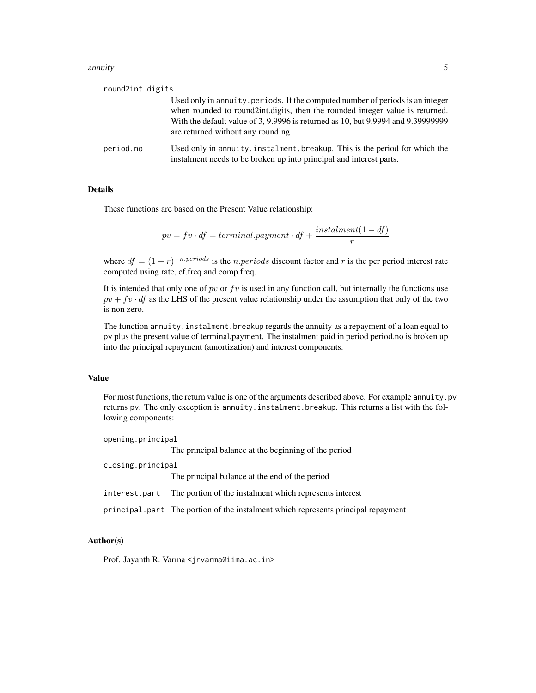#### annuity 5.5 September 2014 and 2014 and 2014 and 2014 and 2014 and 2014 and 2014 and 2014 and 2014 and 2014 an

| round2int.digits |                                                                                                                                                                                                                                                                                              |
|------------------|----------------------------------------------------------------------------------------------------------------------------------------------------------------------------------------------------------------------------------------------------------------------------------------------|
|                  | Used only in annuity, periods. If the computed number of periods is an integer<br>when rounded to round 2 int. digits, then the rounded integer value is returned.<br>With the default value of 3, 9.9996 is returned as 10, but 9.9994 and 9.39999999<br>are returned without any rounding. |
| period.no        | Used only in annuity.instalment.breakup. This is the period for which the<br>instalment needs to be broken up into principal and interest parts.                                                                                                                                             |

#### Details

These functions are based on the Present Value relationship:

$$
pv = fv \cdot df = terminal.payment \cdot df + \frac{installment(1 - df)}{r}
$$

where  $df = (1 + r)^{-n. periods}$  is the n.*periods* discount factor and r is the per period interest rate computed using rate, cf.freq and comp.freq.

It is intended that only one of  $pv$  or  $fv$  is used in any function call, but internally the functions use  $pv + fv \cdot df$  as the LHS of the present value relationship under the assumption that only of the two is non zero.

The function annuity.instalment.breakup regards the annuity as a repayment of a loan equal to pv plus the present value of terminal.payment. The instalment paid in period period.no is broken up into the principal repayment (amortization) and interest components.

#### Value

For most functions, the return value is one of the arguments described above. For example annuity.pv returns pv. The only exception is annuity.instalment.breakup. This returns a list with the following components:

| opening.principal |                                                                                   |
|-------------------|-----------------------------------------------------------------------------------|
|                   | The principal balance at the beginning of the period                              |
| closing.principal |                                                                                   |
|                   | The principal balance at the end of the period                                    |
| interest.part     | The portion of the instalment which represents interest                           |
|                   | principal part The portion of the instalment which represents principal repayment |

#### Author(s)

Prof. Jayanth R. Varma <jrvarma@iima.ac.in>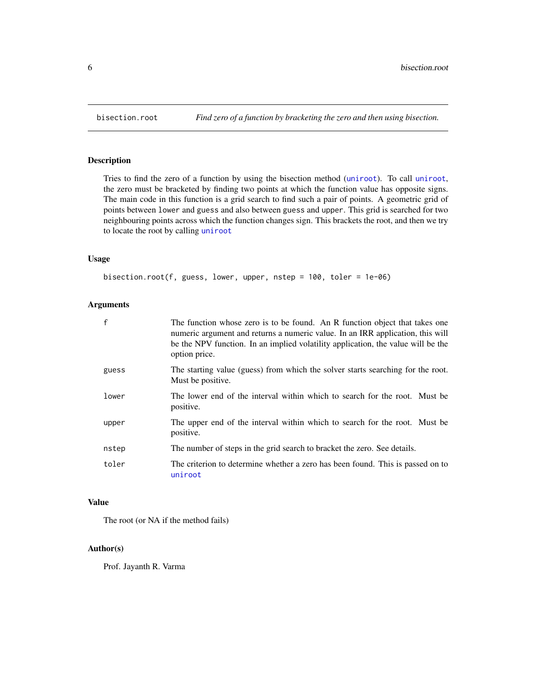Tries to find the zero of a function by using the bisection method ([uniroot](#page-0-0)). To call [uniroot](#page-0-0), the zero must be bracketed by finding two points at which the function value has opposite signs. The main code in this function is a grid search to find such a pair of points. A geometric grid of points between lower and guess and also between guess and upper. This grid is searched for two neighbouring points across which the function changes sign. This brackets the root, and then we try to locate the root by calling [uniroot](#page-0-0)

#### Usage

bisection.root(f, guess, lower, upper, nstep = 100, toler = 1e-06)

## Arguments

| $\mathsf{f}$ | The function whose zero is to be found. An R function object that takes one<br>numeric argument and returns a numeric value. In an IRR application, this will<br>be the NPV function. In an implied volatility application, the value will be the<br>option price. |
|--------------|--------------------------------------------------------------------------------------------------------------------------------------------------------------------------------------------------------------------------------------------------------------------|
| guess        | The starting value (guess) from which the solver starts searching for the root.<br>Must be positive.                                                                                                                                                               |
| lower        | The lower end of the interval within which to search for the root. Must be<br>positive.                                                                                                                                                                            |
| upper        | The upper end of the interval within which to search for the root. Must be<br>positive.                                                                                                                                                                            |
| nstep        | The number of steps in the grid search to bracket the zero. See details.                                                                                                                                                                                           |
| toler        | The criterion to determine whether a zero has been found. This is passed on to<br>uniroot                                                                                                                                                                          |

#### Value

The root (or NA if the method fails)

#### Author(s)

Prof. Jayanth R. Varma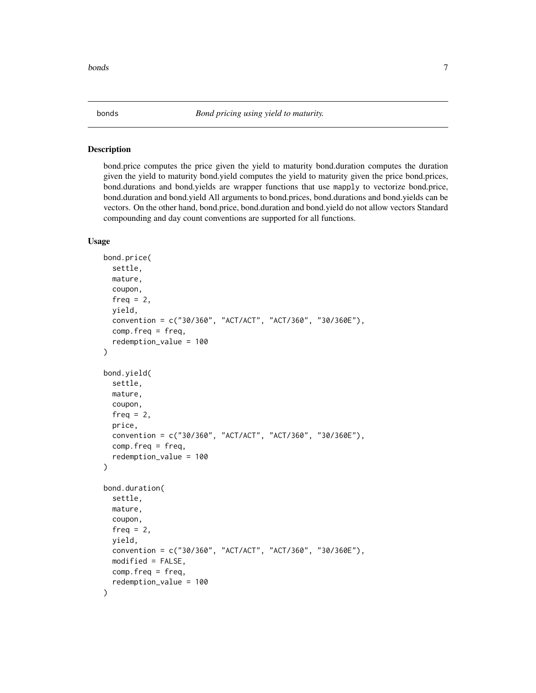<span id="page-6-1"></span><span id="page-6-0"></span>bond.price computes the price given the yield to maturity bond.duration computes the duration given the yield to maturity bond.yield computes the yield to maturity given the price bond.prices, bond.durations and bond.yields are wrapper functions that use mapply to vectorize bond.price, bond.duration and bond.yield All arguments to bond.prices, bond.durations and bond.yields can be vectors. On the other hand, bond.price, bond.duration and bond.yield do not allow vectors Standard compounding and day count conventions are supported for all functions.

```
bond.price(
  settle,
  mature,
  coupon,
  freq = 2,
  yield,
  convention = c("30/360", "ACT/ACT", "ACT/360", "30/360E"),
  comp.freq = freq,
  redemption_value = 100
)
bond.yield(
  settle,
  mature,
  coupon,
  freq = 2,
  price,
  convention = c("30/360", "ACT/ACT", "ACT/360", "30/360E"),
  comp.freq = freq,
  redemption_value = 100
)
bond.duration(
  settle,
  mature,
  coupon,
  freq = 2,
  yield,
  convention = c("30/360", "ACT/ACT", "ACT/360", "30/360E"),
  modified = FALSE,
  comp.freq = freq,
  redemption_value = 100
)
```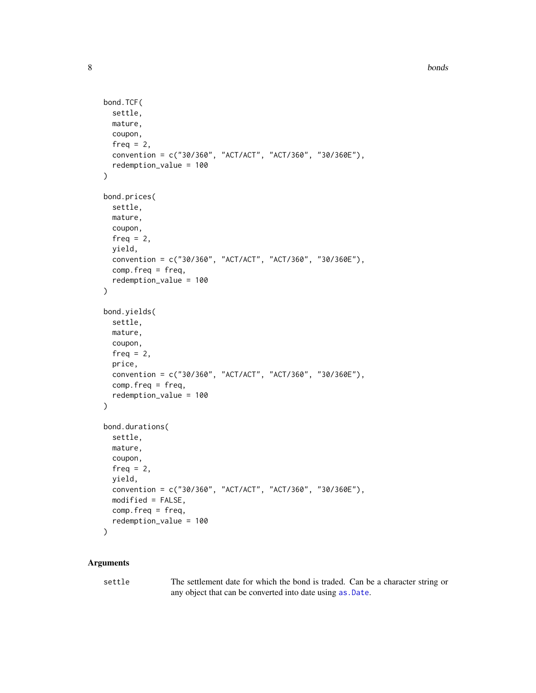8 bonds and the contract of the contract of the contract of the contract of the contract of the contract of the contract of the contract of the contract of the contract of the contract of the contract of the contract of th

```
bond.TCF(
  settle,
 mature,
 coupon,
 freq = 2,
 convention = c("30/360", "ACT/ACT", "ACT/360", "30/360E"),
 redemption_value = 100
\mathcal{L}bond.prices(
  settle,
 mature,
 coupon,
 freq = 2,
 yield,
  convention = c("30/360", "ACT/ACT", "ACT/360", "30/360E"),
 comp.freq = freq,
  redemption_value = 100
\lambdabond.yields(
  settle,
 mature,
 coupon,
  freq = 2,
 price,
  convention = c("30/360", "ACT/ACT", "ACT/360", "30/360E"),
  comp.freq = freq,
 redemption_value = 100
\mathcal{L}bond.durations(
  settle,
 mature,
 coupon,
 freq = 2,
 yield,
  convention = c("30/360", "ACT/ACT", "ACT/360", "30/360E"),
 modified = FALSE,
 comp.freq = freq,
  redemption_value = 100
\mathcal{L}
```

| settle | The settlement date for which the bond is traded. Can be a character string or |
|--------|--------------------------------------------------------------------------------|
|        | any object that can be converted into date using as .Date.                     |

<span id="page-7-0"></span>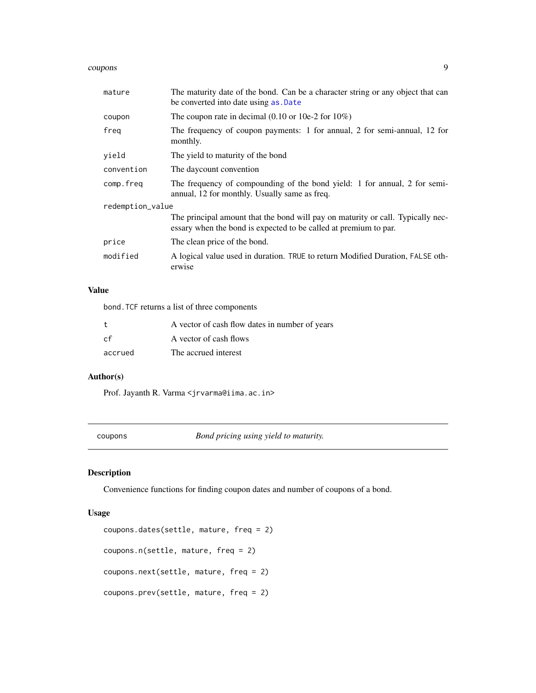#### <span id="page-8-0"></span>coupons and the contract of the contract of the contract of the contract of the contract of the contract of the contract of the contract of the contract of the contract of the contract of the contract of the contract of th

| mature           | The maturity date of the bond. Can be a character string or any object that can<br>be converted into date using as . Date                           |
|------------------|-----------------------------------------------------------------------------------------------------------------------------------------------------|
| coupon           | The coupon rate in decimal $(0.10 \text{ or } 10e-2 \text{ for } 10\%)$                                                                             |
| freg             | The frequency of coupon payments: 1 for annual, 2 for semi-annual, 12 for<br>monthly.                                                               |
| yield            | The yield to maturity of the bond                                                                                                                   |
| convention       | The daycount convention                                                                                                                             |
| comp.freq        | The frequency of compounding of the bond yield: 1 for annual, 2 for semi-<br>annual, 12 for monthly. Usually same as freq.                          |
| redemption_value |                                                                                                                                                     |
|                  | The principal amount that the bond will pay on maturity or call. Typically nec-<br>essary when the bond is expected to be called at premium to par. |
| price            | The clean price of the bond.                                                                                                                        |
| modified         | A logical value used in duration. TRUE to return Modified Duration, FALSE oth-<br>erwise                                                            |

# Value

bond.TCF returns a list of three components

| $\mathbf{t}$ | A vector of cash flow dates in number of years |
|--------------|------------------------------------------------|
| .cf          | A vector of cash flows                         |
| accrued      | The accrued interest                           |

# Author(s)

Prof. Jayanth R. Varma <jrvarma@iima.ac.in>

<span id="page-8-1"></span>

| coupons |  |
|---------|--|
|         |  |

coupons *Bond pricing using yield to maturity.*

# Description

Convenience functions for finding coupon dates and number of coupons of a bond.

```
coupons.dates(settle, mature, freq = 2)
coupons.n(settle, mature, freq = 2)
coupons.next(settle, mature, freq = 2)
coupons.prev(settle, mature, freq = 2)
```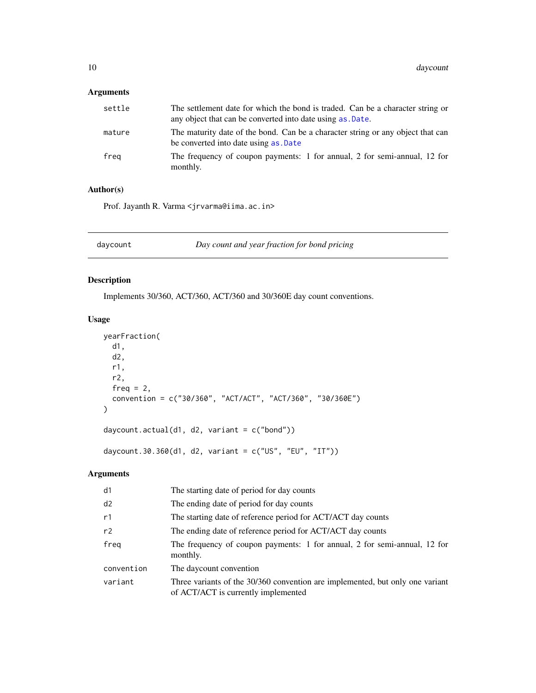# <span id="page-9-0"></span>Arguments

| settle | The settlement date for which the bond is traded. Can be a character string or<br>any object that can be converted into date using as .Date. |
|--------|----------------------------------------------------------------------------------------------------------------------------------------------|
| mature | The maturity date of the bond. Can be a character string or any object that can<br>be converted into date using as . Date                    |
| freg   | The frequency of coupon payments: 1 for annual, 2 for semi-annual, 12 for<br>monthly.                                                        |

# Author(s)

Prof. Jayanth R. Varma <jrvarma@iima.ac.in>

daycount *Day count and year fraction for bond pricing*

# Description

Implements 30/360, ACT/360, ACT/360 and 30/360E day count conventions.

#### Usage

```
yearFraction(
  d1,
  d2,
  r1,
  r2,
  freq = 2,
  convention = c("30/360", "ACT/ACT", "ACT/360", "30/360E")
)
daycount.actual(d1, d2, variant = c("bond"))
```
daycount.30.360(d1, d2, variant = c("US", "EU", "IT"))

| d1         | The starting date of period for day counts                                                                           |
|------------|----------------------------------------------------------------------------------------------------------------------|
| d2         | The ending date of period for day counts                                                                             |
| r1         | The starting date of reference period for ACT/ACT day counts                                                         |
| r2         | The ending date of reference period for ACT/ACT day counts                                                           |
| freq       | The frequency of coupon payments: 1 for annual, 2 for semi-annual, 12 for<br>monthly.                                |
| convention | The daycount convention                                                                                              |
| variant    | Three variants of the 30/360 convention are implemented, but only one variant<br>of ACT/ACT is currently implemented |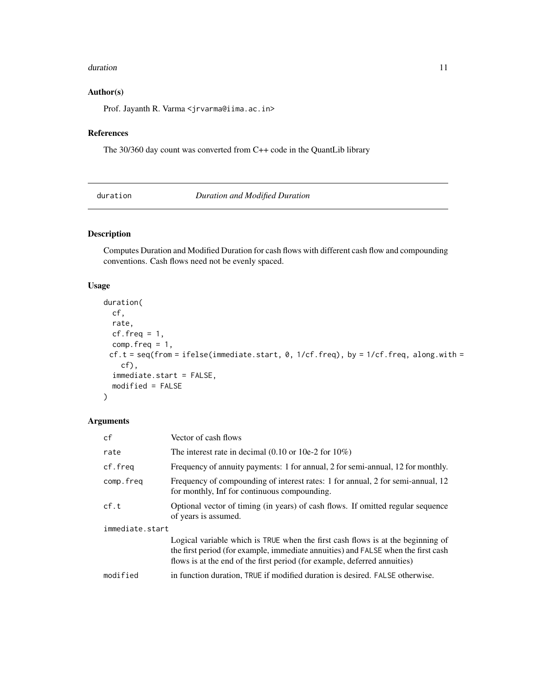#### <span id="page-10-0"></span>duration and the contract of the contract of the contract of the contract of the contract of the contract of the contract of the contract of the contract of the contract of the contract of the contract of the contract of t

# Author(s)

Prof. Jayanth R. Varma <jrvarma@iima.ac.in>

# References

The 30/360 day count was converted from C++ code in the QuantLib library

<span id="page-10-1"></span>duration *Duration and Modified Duration*

# Description

Computes Duration and Modified Duration for cash flows with different cash flow and compounding conventions. Cash flows need not be evenly spaced.

# Usage

```
duration(
 cf,
  rate,
 cf. freq = 1,comp.freq = 1,cf.t = seq(from = ifelse(immediate.start, 0, 1/cf.freq), by = 1/cf.freq, along.with =cf),
  immediate.start = FALSE,
 modified = FALSE
\mathcal{L}
```

| cf              | Vector of cash flows                                                                                                                                                                                                                              |  |
|-----------------|---------------------------------------------------------------------------------------------------------------------------------------------------------------------------------------------------------------------------------------------------|--|
| rate            | The interest rate in decimal $(0.10 \text{ or } 10e-2 \text{ for } 10\%)$                                                                                                                                                                         |  |
| cf.freq         | Frequency of annuity payments: 1 for annual, 2 for semi-annual, 12 for monthly.                                                                                                                                                                   |  |
| comp.freq       | Frequency of compounding of interest rates: 1 for annual, 2 for semi-annual, 12<br>for monthly, Inf for continuous compounding.                                                                                                                   |  |
| cf.t            | Optional vector of timing (in years) of cash flows. If omitted regular sequence<br>of years is assumed.                                                                                                                                           |  |
| immediate.start |                                                                                                                                                                                                                                                   |  |
|                 | Logical variable which is TRUE when the first cash flows is at the beginning of<br>the first period (for example, immediate annuities) and FALSE when the first cash<br>flows is at the end of the first period (for example, deferred annuities) |  |
| modified        | in function duration, TRUE if modified duration is desired. FALSE otherwise.                                                                                                                                                                      |  |
|                 |                                                                                                                                                                                                                                                   |  |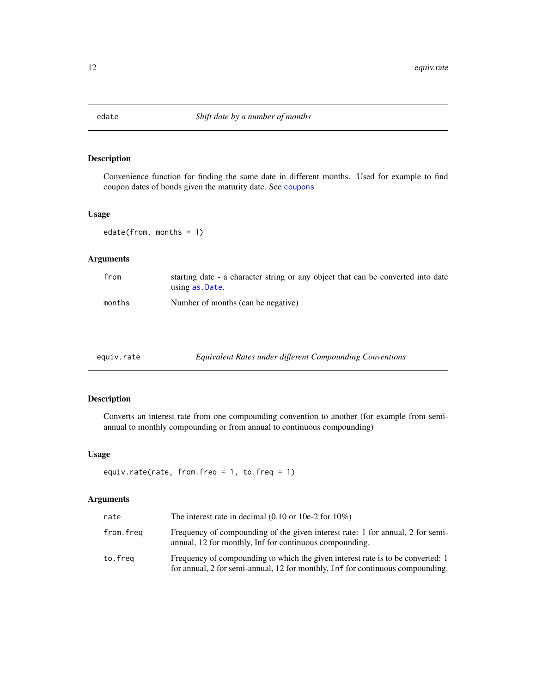<span id="page-11-0"></span>

Convenience function for finding the same date in different months. Used for example to find coupon dates of bonds given the maturity date. See [coupons](#page-8-1)

#### Usage

edate(from, months = 1)

# Arguments

| from   | starting date - a character string or any object that can be converted into date<br>using as .Date. |
|--------|-----------------------------------------------------------------------------------------------------|
| months | Number of months (can be negative)                                                                  |

<span id="page-11-1"></span>

| equiv.rate | Equivalent Rates under different Compounding Conventions |  |
|------------|----------------------------------------------------------|--|
|            |                                                          |  |

# Description

Converts an interest rate from one compounding convention to another (for example from semiannual to monthly compounding or from annual to continuous compounding)

#### Usage

```
equiv.rate(rate, from.freq = 1, to.freq = 1)
```

| rate      | The interest rate in decimal $(0.10 \text{ or } 10e-2 \text{ for } 10\%)$                                                                                         |
|-----------|-------------------------------------------------------------------------------------------------------------------------------------------------------------------|
| from.freg | Frequency of compounding of the given interest rate: 1 for annual, 2 for semi-<br>annual, 12 for monthly, Inf for continuous compounding.                         |
| to.freg   | Frequency of compounding to which the given interest rate is to be converted: 1<br>for annual, 2 for semi-annual, 12 for monthly, Inf for continuous compounding. |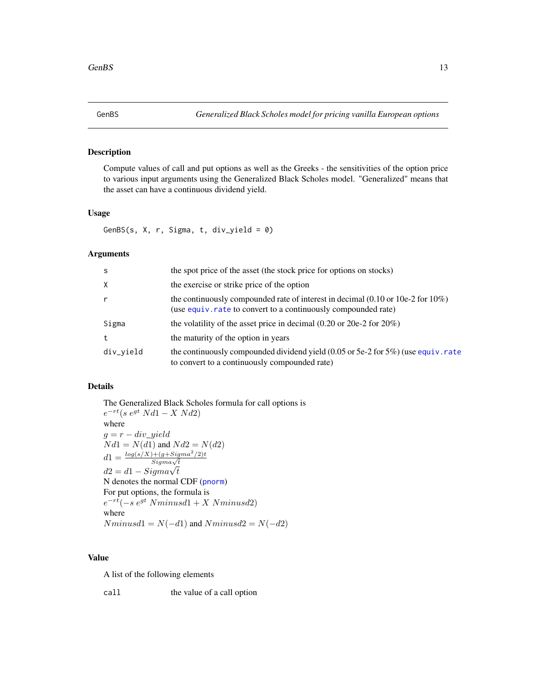<span id="page-12-1"></span><span id="page-12-0"></span>

Compute values of call and put options as well as the Greeks - the sensitivities of the option price to various input arguments using the Generalized Black Scholes model. "Generalized" means that the asset can have a continuous dividend yield.

## Usage

GenBS(s, X, r, Sigma, t, div\_yield = 0)

#### Arguments

| -S        | the spot price of the asset (the stock price for options on stocks)                                                                                                   |
|-----------|-----------------------------------------------------------------------------------------------------------------------------------------------------------------------|
| $\times$  | the exercise or strike price of the option                                                                                                                            |
| r         | the continuously compounded rate of interest in decimal $(0.10 \text{ or } 10e-2 \text{ for } 10\%)$<br>(use equiv.rate to convert to a continuously compounded rate) |
| Sigma     | the volatility of the asset price in decimal $(0.20 \text{ or } 20e-2 \text{ for } 20\%)$                                                                             |
| t         | the maturity of the option in years                                                                                                                                   |
| div_vield | the continuously compounded dividend yield $(0.05 \text{ or } 5e-2 \text{ for } 5\%)$ (use equiv.rate<br>to convert to a continuously compounded rate)                |

#### Details

The Generalized Black Scholes formula for call options is  $e^{-rt}(s \; e^{gt} \; Nd1 - X \; Nd2)$ where  $g = r - div\_yield$  $N d1 = N(d1)$  and  $N d2 = N(d2)$  $d1 = \frac{log(s/X) + (g + Sigma^2/2)t}{Signa\sqrt{t}}$  $d2 = d1 - Sigma\sqrt{t}$ N denotes the normal CDF ([pnorm](#page-0-0)) For put options, the formula is  $e^{-rt}(-s\;e^{gt}\; Nminusdl + X\; Nminusdl)$ where  $Nminusd1 = N(-d1)$  and  $Nminusd2 = N(-d2)$ 

# Value

A list of the following elements

call the value of a call option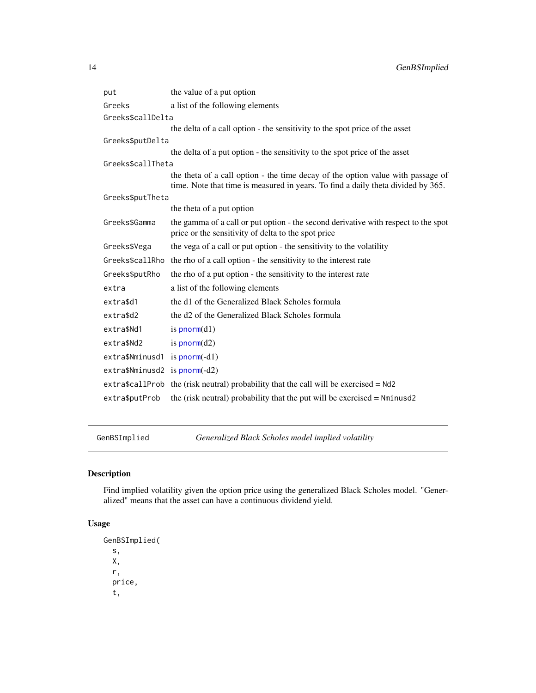<span id="page-13-0"></span>

| put                            | the value of a put option                                                                                                                                           |
|--------------------------------|---------------------------------------------------------------------------------------------------------------------------------------------------------------------|
| Greeks                         | a list of the following elements                                                                                                                                    |
| Greeks\$callDelta              |                                                                                                                                                                     |
|                                | the delta of a call option - the sensitivity to the spot price of the asset                                                                                         |
| Greeks\$putDelta               |                                                                                                                                                                     |
|                                | the delta of a put option - the sensitivity to the spot price of the asset                                                                                          |
| Greeks\$callTheta              |                                                                                                                                                                     |
|                                | the theta of a call option - the time decay of the option value with passage of<br>time. Note that time is measured in years. To find a daily theta divided by 365. |
| Greeks\$putTheta               |                                                                                                                                                                     |
|                                | the theta of a put option                                                                                                                                           |
| Greeks\$Gamma                  | the gamma of a call or put option - the second derivative with respect to the spot<br>price or the sensitivity of delta to the spot price                           |
| Greeks\$Vega                   | the vega of a call or put option - the sensitivity to the volatility                                                                                                |
| Greeks\$callRho                | the rho of a call option - the sensitivity to the interest rate                                                                                                     |
| Greeks\$putRho                 | the rho of a put option - the sensitivity to the interest rate                                                                                                      |
| extra                          | a list of the following elements                                                                                                                                    |
| extra\$d1                      | the d1 of the Generalized Black Scholes formula                                                                                                                     |
| extra\$d2                      | the d <sub>2</sub> of the Generalized Black Scholes formula                                                                                                         |
| extra\$Nd1                     | is $pnorm(d1)$                                                                                                                                                      |
| extra\$Nd2                     | is $pnorm(d2)$                                                                                                                                                      |
| extra\$Nminusd1                | is $pnorm(-d1)$                                                                                                                                                     |
| $extra$Nminusd2 is ponom(-d2)$ |                                                                                                                                                                     |
|                                | extra $$calIProb$ the (risk neutral) probability that the call will be exercised = $Nd2$                                                                            |
| extra\$putProb                 | the (risk neutral) probability that the put will be exercised $= N_{\text{minus}}$                                                                                  |
|                                |                                                                                                                                                                     |

<span id="page-13-1"></span>GenBSImplied *Generalized Black Scholes model implied volatility*

# Description

Find implied volatility given the option price using the generalized Black Scholes model. "Generalized" means that the asset can have a continuous dividend yield.

```
GenBSImplied(
  s,
 X,
 r,
 price,
  t,
```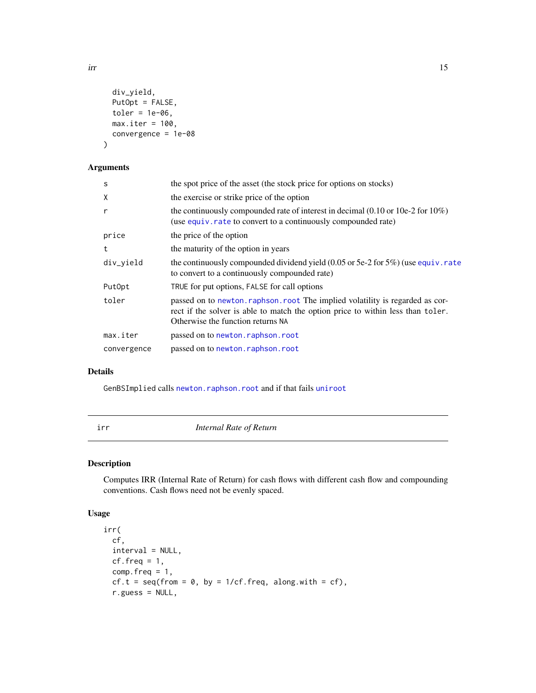irr 15

```
div_yield,
 PutOpt = FALSE,
 toler = 1e-06,
 max.iter = 100,convergence = 1e-08
)
```
# Arguments

| S                  | the spot price of the asset (the stock price for options on stocks)                                                                                                                                   |
|--------------------|-------------------------------------------------------------------------------------------------------------------------------------------------------------------------------------------------------|
| X                  | the exercise or strike price of the option                                                                                                                                                            |
| r                  | the continuously compounded rate of interest in decimal $(0.10 \text{ or } 10e-2 \text{ for } 10\%)$<br>(use equiv. rate to convert to a continuously compounded rate)                                |
| price              | the price of the option                                                                                                                                                                               |
| t                  | the maturity of the option in years                                                                                                                                                                   |
| div_yield          | the continuously compounded dividend yield $(0.05 \text{ or } 5e-2 \text{ for } 5\%)$ (use equiv. rate<br>to convert to a continuously compounded rate)                                               |
| Put <sub>Opt</sub> | TRUE for put options, FALSE for call options                                                                                                                                                          |
| toler              | passed on to newton, raphson, root The implied volatility is regarded as cor-<br>rect if the solver is able to match the option price to within less than toler.<br>Otherwise the function returns NA |
| max.iter           | passed on to newton.raphson.root                                                                                                                                                                      |
| convergence        | passed on to newton.raphson.root                                                                                                                                                                      |
|                    |                                                                                                                                                                                                       |

#### Details

GenBSImplied calls [newton.raphson.root](#page-16-1) and if that fails [uniroot](#page-0-0)

<span id="page-14-1"></span>irr *Internal Rate of Return*

# Description

Computes IRR (Internal Rate of Return) for cash flows with different cash flow and compounding conventions. Cash flows need not be evenly spaced.

```
irr(
 cf,
 interval = NULL,
 cf. freq = 1,comp.freq = 1,cf.t = seq(from = 0, by = 1/cf.freq, along.with = cf),r.guess = NULL,
```
<span id="page-14-0"></span>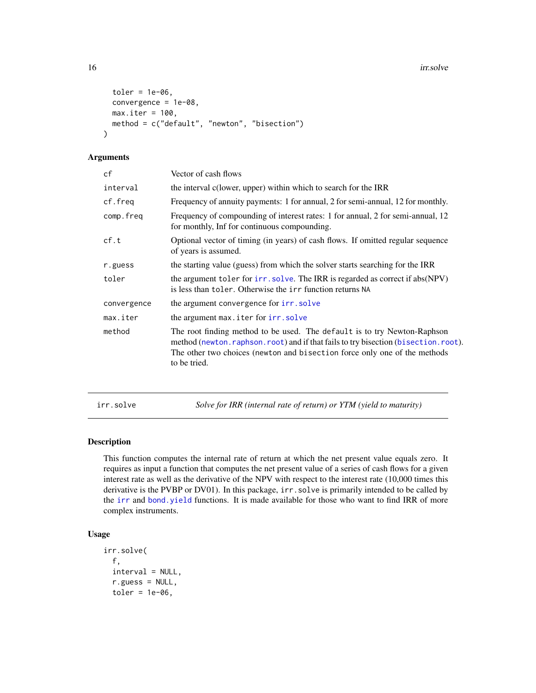16 in the state of the state of the state of the state of the state of the state of the state of the state of the state of the state of the state of the state of the state of the state of the state of the state of the stat

```
toler = 1e-06,
  convergence = 1e-08,
 max.iter = 100.
 method = c("default", "newton", "bisection")
)
```
#### Arguments

| cf          | Vector of cash flows                                                                                                                                                                                                                                       |
|-------------|------------------------------------------------------------------------------------------------------------------------------------------------------------------------------------------------------------------------------------------------------------|
| interval    | the interval c(lower, upper) within which to search for the IRR                                                                                                                                                                                            |
| cf.freg     | Frequency of annuity payments: 1 for annual, 2 for semi-annual, 12 for monthly.                                                                                                                                                                            |
| comp.freq   | Frequency of compounding of interest rates: 1 for annual, 2 for semi-annual, 12<br>for monthly, Inf for continuous compounding.                                                                                                                            |
| cf.t        | Optional vector of timing (in years) of cash flows. If omitted regular sequence<br>of years is assumed.                                                                                                                                                    |
| r.guess     | the starting value (guess) from which the solver starts searching for the IRR                                                                                                                                                                              |
| toler       | the argument toler for irr. solve. The IRR is regarded as correct if abs(NPV)<br>is less than toler. Otherwise the irr function returns NA                                                                                                                 |
| convergence | the argument convergence for <b>irr</b> . solve                                                                                                                                                                                                            |
| max.iter    | the argument max. iter for irr. solve                                                                                                                                                                                                                      |
| method      | The root finding method to be used. The default is to try Newton-Raphson<br>method (newton.raphson.root) and if that fails to try bisection (bisection.root).<br>The other two choices (newton and bisection force only one of the methods<br>to be tried. |
|             |                                                                                                                                                                                                                                                            |

<span id="page-15-1"></span>irr.solve *Solve for IRR (internal rate of return) or YTM (yield to maturity)*

# Description

This function computes the internal rate of return at which the net present value equals zero. It requires as input a function that computes the net present value of a series of cash flows for a given interest rate as well as the derivative of the NPV with respect to the interest rate (10,000 times this derivative is the PVBP or DV01). In this package, irr.solve is primarily intended to be called by the [irr](#page-14-1) and [bond.yield](#page-6-1) functions. It is made available for those who want to find IRR of more complex instruments.

```
irr.solve(
 f,
  interval = NULL,
  r.guess = NULL,
  toler = 1e-06,
```
<span id="page-15-0"></span>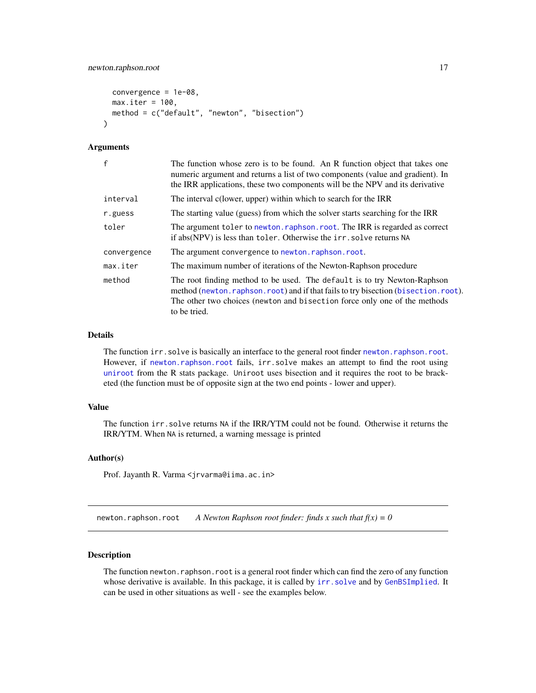```
convergence = 1e-08,
 max.iter = 100,method = c("default", "newton", "bisection")
\lambda
```
#### Arguments

| $\mathsf{f}$ | The function whose zero is to be found. An R function object that takes one<br>numeric argument and returns a list of two components (value and gradient). In<br>the IRR applications, these two components will be the NPV and its derivative             |
|--------------|------------------------------------------------------------------------------------------------------------------------------------------------------------------------------------------------------------------------------------------------------------|
| interval     | The interval c(lower, upper) within which to search for the IRR                                                                                                                                                                                            |
| r.guess      | The starting value (guess) from which the solver starts searching for the IRR                                                                                                                                                                              |
| toler        | The argument toler to newton. raphson. root. The IRR is regarded as correct<br>if abs(NPV) is less than toler. Otherwise the irr. solve returns NA                                                                                                         |
| convergence  | The argument convergence to newton.raphson.root.                                                                                                                                                                                                           |
| max.iter     | The maximum number of iterations of the Newton-Raphson procedure                                                                                                                                                                                           |
| method       | The root finding method to be used. The default is to try Newton-Raphson<br>method (newton.raphson.root) and if that fails to try bisection (bisection.root).<br>The other two choices (newton and bisection force only one of the methods<br>to be tried. |

#### Details

The function irr.solve is basically an interface to the general root finder [newton.raphson.root](#page-16-1). However, if [newton.raphson.root](#page-16-1) fails, irr.solve makes an attempt to find the root using [uniroot](#page-0-0) from the R stats package. Uniroot uses bisection and it requires the root to be bracketed (the function must be of opposite sign at the two end points - lower and upper).

#### Value

The function irr.solve returns NA if the IRR/YTM could not be found. Otherwise it returns the IRR/YTM. When NA is returned, a warning message is printed

# Author(s)

Prof. Jayanth R. Varma <jrvarma@iima.ac.in>

<span id="page-16-1"></span>newton.raphson.root *A Newton Raphson root finder: finds x such that*  $f(x) = 0$ 

## Description

The function newton.raphson.root is a general root finder which can find the zero of any function whose derivative is available. In this package, it is called by [irr.solve](#page-15-1) and by [GenBSImplied](#page-13-1). It can be used in other situations as well - see the examples below.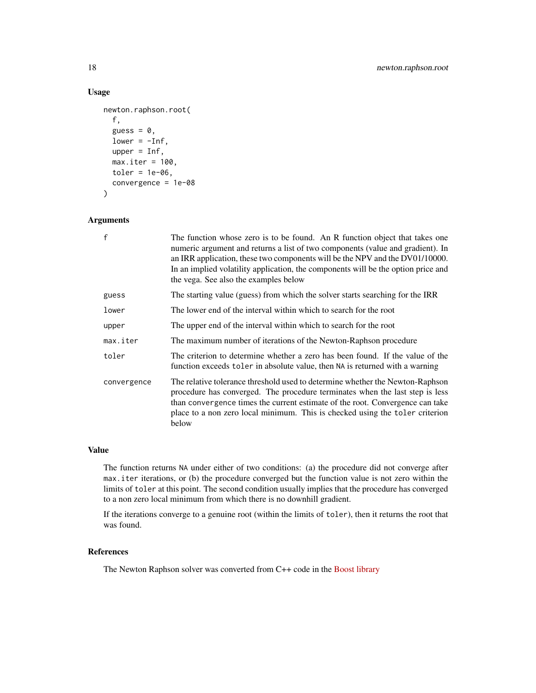# Usage

```
newton.raphson.root(
  f,
  guess = \theta,
  lower = -Inf,upper = Inf,max.iter = 100,toler = 1e-06,
  convergence = 1e-08
)
```
#### Arguments

| $\mathsf{f}$ | The function whose zero is to be found. An R function object that takes one<br>numeric argument and returns a list of two components (value and gradient). In<br>an IRR application, these two components will be the NPV and the DV01/10000.<br>In an implied volatility application, the components will be the option price and<br>the vega. See also the examples below |
|--------------|-----------------------------------------------------------------------------------------------------------------------------------------------------------------------------------------------------------------------------------------------------------------------------------------------------------------------------------------------------------------------------|
| guess        | The starting value (guess) from which the solver starts searching for the IRR                                                                                                                                                                                                                                                                                               |
| lower        | The lower end of the interval within which to search for the root                                                                                                                                                                                                                                                                                                           |
| upper        | The upper end of the interval within which to search for the root                                                                                                                                                                                                                                                                                                           |
| max.iter     | The maximum number of iterations of the Newton-Raphson procedure                                                                                                                                                                                                                                                                                                            |
| toler        | The criterion to determine whether a zero has been found. If the value of the<br>function exceeds toler in absolute value, then NA is returned with a warning                                                                                                                                                                                                               |
| convergence  | The relative tolerance threshold used to determine whether the Newton-Raphson<br>procedure has converged. The procedure terminates when the last step is less<br>than convergence times the current estimate of the root. Convergence can take<br>place to a non zero local minimum. This is checked using the toler criterion<br>below                                     |

#### Value

The function returns NA under either of two conditions: (a) the procedure did not converge after max.iter iterations, or (b) the procedure converged but the function value is not zero within the limits of toler at this point. The second condition usually implies that the procedure has converged to a non zero local minimum from which there is no downhill gradient.

If the iterations converge to a genuine root (within the limits of toler), then it returns the root that was found.

#### References

The Newton Raphson solver was converted from C++ code in the [Boost library](https://www.boost.org/)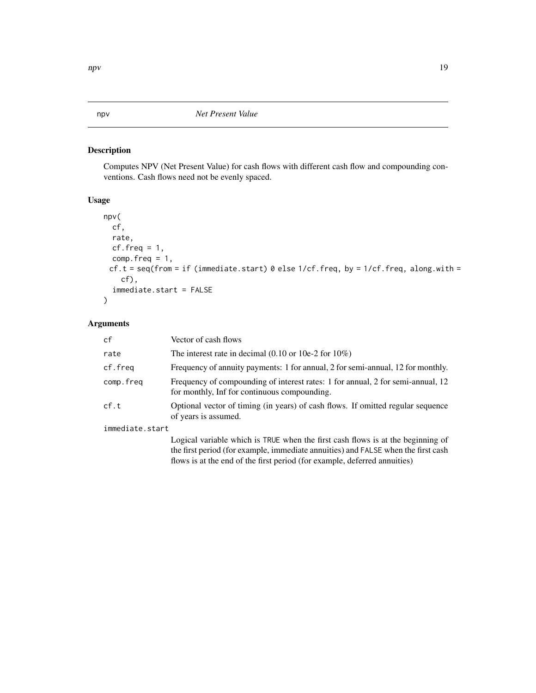<span id="page-18-1"></span><span id="page-18-0"></span>Computes NPV (Net Present Value) for cash flows with different cash flow and compounding conventions. Cash flows need not be evenly spaced.

# Usage

```
npv(
 cf,
 rate,
 cf. freq = 1,comp.freq = 1,cf.t = seq(from = if (immediate.start) 0 else 1/cf.freq, by = 1/cf.freq, along.with =cf),
  immediate.start = FALSE
```
# Arguments

 $\mathcal{L}$ 

| cf              | Vector of cash flows                                                                                                                                                 |
|-----------------|----------------------------------------------------------------------------------------------------------------------------------------------------------------------|
| rate            | The interest rate in decimal $(0.10 \text{ or } 10e-2 \text{ for } 10\%)$                                                                                            |
| cf.freq         | Frequency of annuity payments: 1 for annual, 2 for semi-annual, 12 for monthly.                                                                                      |
| comp.freq       | Frequency of compounding of interest rates: 1 for annual, 2 for semi-annual, 12<br>for monthly, Inf for continuous compounding.                                      |
| cf.t            | Optional vector of timing (in years) of cash flows. If omitted regular sequence<br>of years is assumed.                                                              |
| immediate.start |                                                                                                                                                                      |
|                 | Logical variable which is TRUE when the first cash flows is at the beginning of<br>the first period (for example, immediate annuities) and FALSE when the first cash |

flows is at the end of the first period (for example, deferred annuities)